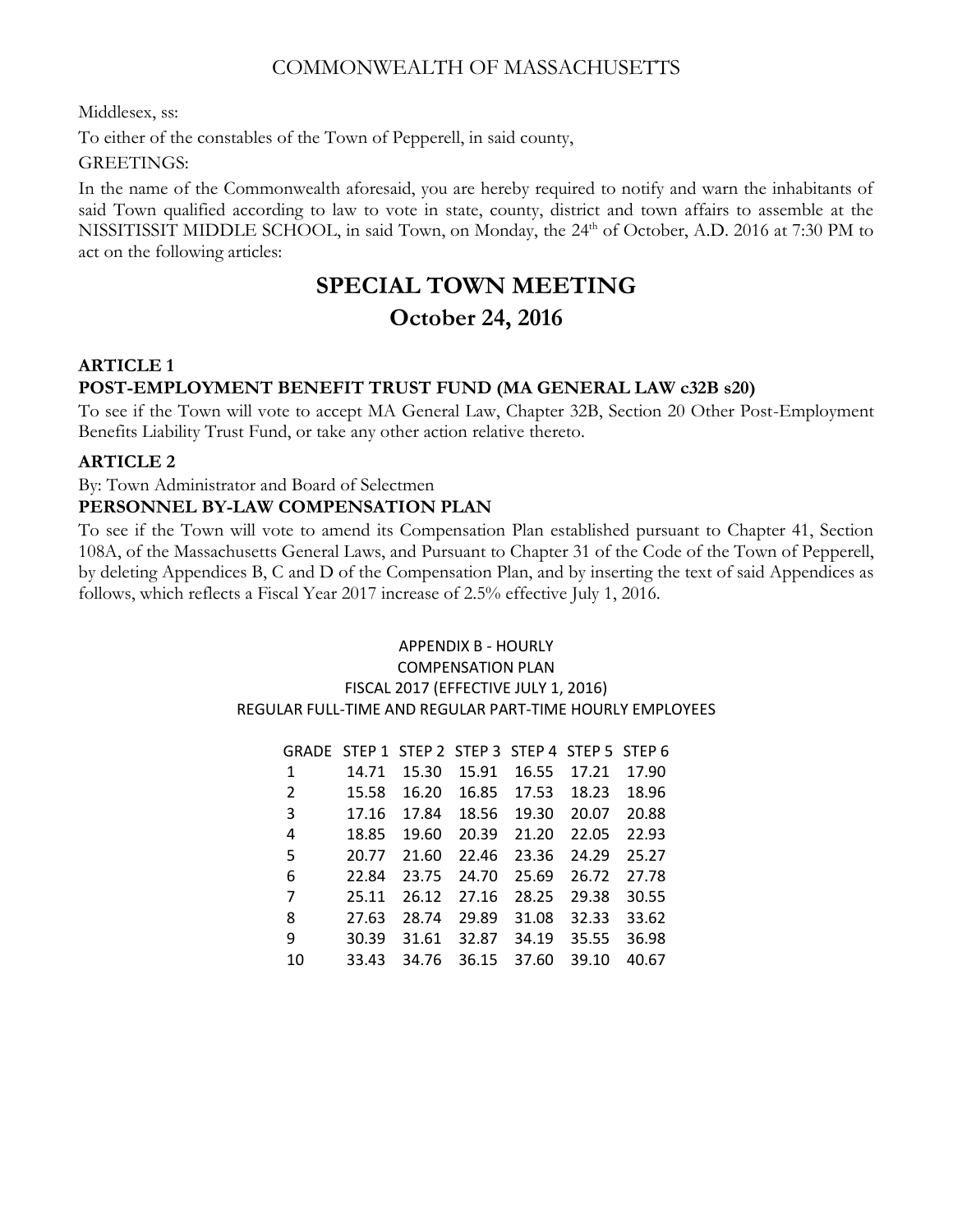# COMMONWEALTH OF MASSACHUSETTS

Middlesex, ss:

To either of the constables of the Town of Pepperell, in said county,

GREETINGS:

In the name of the Commonwealth aforesaid, you are hereby required to notify and warn the inhabitants of said Town qualified according to law to vote in state, county, district and town affairs to assemble at the NISSITISSIT MIDDLE SCHOOL, in said Town, on Monday, the 24<sup>th</sup> of October, A.D. 2016 at 7:30 PM to act on the following articles:

# **SPECIAL TOWN MEETING**

# **October 24, 2016**

# **ARTICLE 1**

# **POST-EMPLOYMENT BENEFIT TRUST FUND (MA GENERAL LAW c32B s20)**

To see if the Town will vote to accept MA General Law, Chapter 32B, Section 20 Other Post-Employment Benefits Liability Trust Fund, or take any other action relative thereto.

# **ARTICLE 2**

By: Town Administrator and Board of Selectmen

# **PERSONNEL BY-LAW COMPENSATION PLAN**

To see if the Town will vote to amend its Compensation Plan established pursuant to Chapter 41, Section 108A, of the Massachusetts General Laws, and Pursuant to Chapter 31 of the Code of the Town of Pepperell, by deleting Appendices B, C and D of the Compensation Plan, and by inserting the text of said Appendices as follows, which reflects a Fiscal Year 2017 increase of 2.5% effective July 1, 2016.

## APPENDIX B - HOURLY COMPENSATION PLAN FISCAL 2017 (EFFECTIVE JULY 1, 2016) REGULAR FULL-TIME AND REGULAR PART-TIME HOURLY EMPLOYEES

|    | GRADE STEP 1 STEP 2 STEP 3 STEP 4 STEP 5 STEP 6 |       |       |       |       |       |
|----|-------------------------------------------------|-------|-------|-------|-------|-------|
| 1  | 14.71                                           | 15.30 | 15.91 | 16.55 | 17.21 | 17.90 |
| 2  | 15.58                                           | 16.20 | 16.85 | 17.53 | 18.23 | 18.96 |
| 3  | 17.16                                           | 17.84 | 18.56 | 19.30 | 20.07 | 20.88 |
| 4  | 18.85                                           | 19.60 | 20.39 | 21.20 | 22.05 | 22.93 |
| 5  | 20.77                                           | 21.60 | 22.46 | 23.36 | 24.29 | 25.27 |
| 6  | 22.84                                           | 23.75 | 24.70 | 25.69 | 26.72 | 27.78 |
| 7  | 25.11                                           | 26.12 | 27.16 | 28.25 | 29.38 | 30.55 |
| 8  | 27.63                                           | 28.74 | 29.89 | 31.08 | 32.33 | 33.62 |
| 9  | 30.39                                           | 31.61 | 32.87 | 34.19 | 35.55 | 36.98 |
| 10 | 33.43                                           | 34.76 | 36.15 | 37.60 | 39.10 | 40.67 |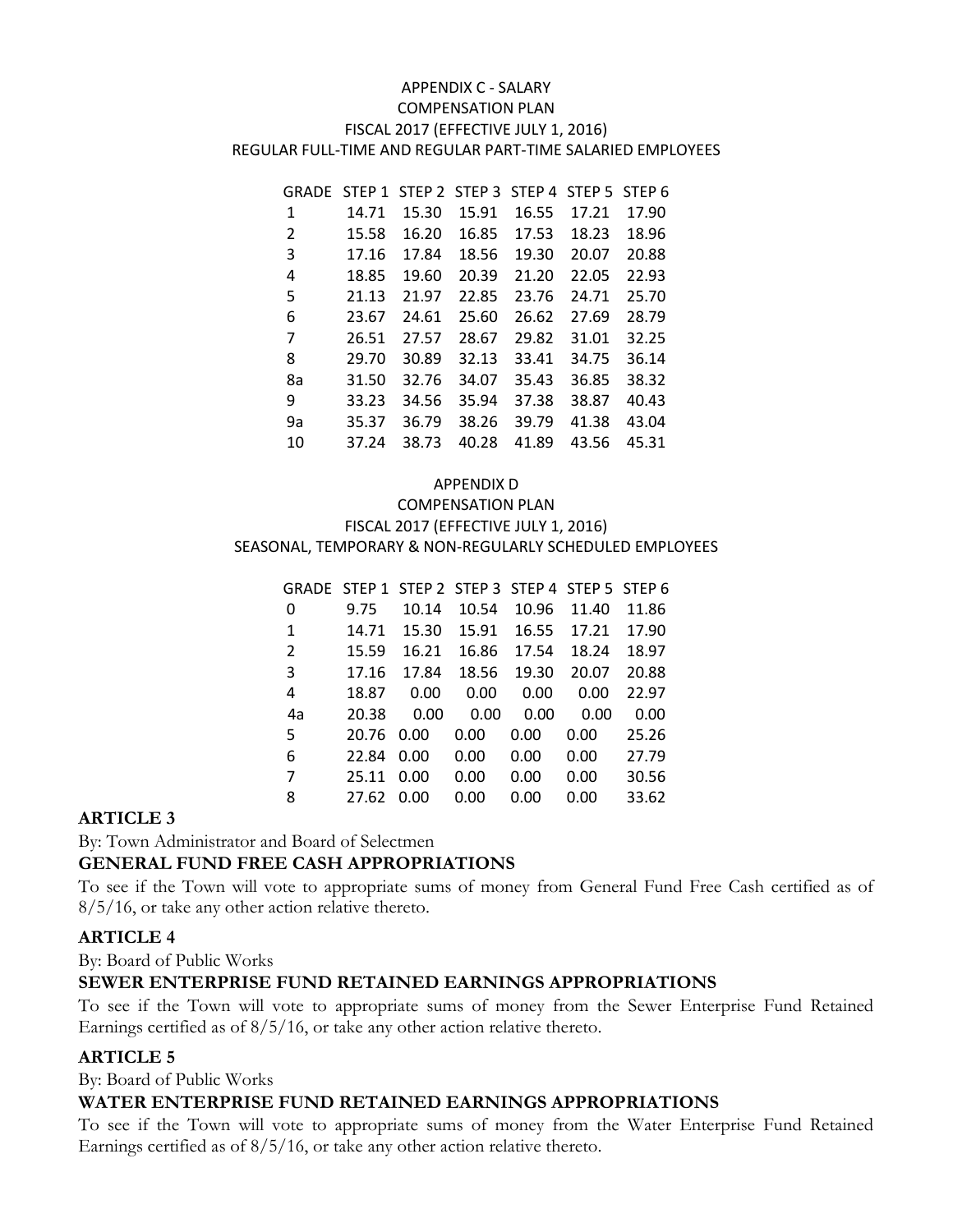#### APPENDIX C - SALARY COMPENSATION PLAN FISCAL 2017 (EFFECTIVE JULY 1, 2016) REGULAR FULL-TIME AND REGULAR PART-TIME SALARIED EMPLOYEES

| GRADE | STEP <sub>1</sub> | STEP <sub>2</sub> | STEP <sub>3</sub> | STEP <sub>4</sub> | STEP <sub>5</sub> | STEP <sub>6</sub> |
|-------|-------------------|-------------------|-------------------|-------------------|-------------------|-------------------|
| 1     | 14.71             | 15.30             | 15.91             | 16.55             | 17.21             | 17.90             |
| 2     | 15.58             | 16.20             | 16.85             | 17.53             | 18.23             | 18.96             |
| 3     | 17.16             | 17.84             | 18.56             | 19.30             | 20.07             | 20.88             |
| 4     | 18.85             | 19.60             | 20.39             | 21.20             | 22.05             | 22.93             |
| 5     | 21.13             | 21.97             | 22.85             | 23.76             | 24.71             | 25.70             |
| 6     | 23.67             | 24.61             | 25.60             | 26.62             | 27.69             | 28.79             |
| 7     | 26.51             | 27.57             | 28.67             | 29.82             | 31.01             | 32.25             |
| 8     | 29.70             | 30.89             | 32.13             | 33.41             | 34.75             | 36.14             |
| 8a    | 31.50             | 32.76             | 34.07             | 35.43             | 36.85             | 38.32             |
| 9     | 33.23             | 34.56             | 35.94             | 37.38             | 38.87             | 40.43             |
| 9a    | 35.37             | 36.79             | 38.26             | 39.79             | 41.38             | 43.04             |
| 10    | 37.24             | 38.73             | 40.28             | 41.89             | 43.56             | 45.31             |

#### APPENDIX D

#### COMPENSATION PLAN FISCAL 2017 (EFFECTIVE JULY 1, 2016) SEASONAL, TEMPORARY & NON-REGULARLY SCHEDULED EMPLOYEES

|                |       |       |       |       | GRADE STEP 1 STEP 2 STEP 3 STEP 4 STEP 5 STEP 6 |       |
|----------------|-------|-------|-------|-------|-------------------------------------------------|-------|
| 0              | 9.75  | 10.14 | 10.54 | 10.96 | 11.40                                           | 11.86 |
| 1              | 14.71 | 15.30 | 15.91 | 16.55 | 17.21                                           | 17.90 |
| $\overline{2}$ | 15.59 | 16.21 | 16.86 | 17.54 | 18.24                                           | 18.97 |
| 3              | 17.16 | 17.84 | 18.56 | 19.30 | 20.07                                           | 20.88 |
| 4              | 18.87 | 0.00  | 0.00  | 0.00  | 0.00                                            | 22.97 |
| 4a             | 20.38 | 0.00  | 0.00  | 0.00  | 0.00                                            | 0.00  |
| 5              | 20.76 | 0.00  | 0.00  | 0.00  | 0.00                                            | 25.26 |
| 6              | 22.84 | 0.00  | 0.00  | 0.00  | 0.00                                            | 27.79 |
| 7              | 25.11 | 0.00  | 0.00  | 0.00  | 0.00                                            | 30.56 |
| 8              | 27.62 | 0.00  | 0.00  | 0.00  | 0.00                                            | 33.62 |

## **ARTICLE 3**

By: Town Administrator and Board of Selectmen

## **GENERAL FUND FREE CASH APPROPRIATIONS**

To see if the Town will vote to appropriate sums of money from General Fund Free Cash certified as of 8/5/16, or take any other action relative thereto.

## **ARTICLE 4**

By: Board of Public Works

## **SEWER ENTERPRISE FUND RETAINED EARNINGS APPROPRIATIONS**

To see if the Town will vote to appropriate sums of money from the Sewer Enterprise Fund Retained Earnings certified as of 8/5/16, or take any other action relative thereto.

## **ARTICLE 5**

By: Board of Public Works

#### **WATER ENTERPRISE FUND RETAINED EARNINGS APPROPRIATIONS**

To see if the Town will vote to appropriate sums of money from the Water Enterprise Fund Retained Earnings certified as of 8/5/16, or take any other action relative thereto.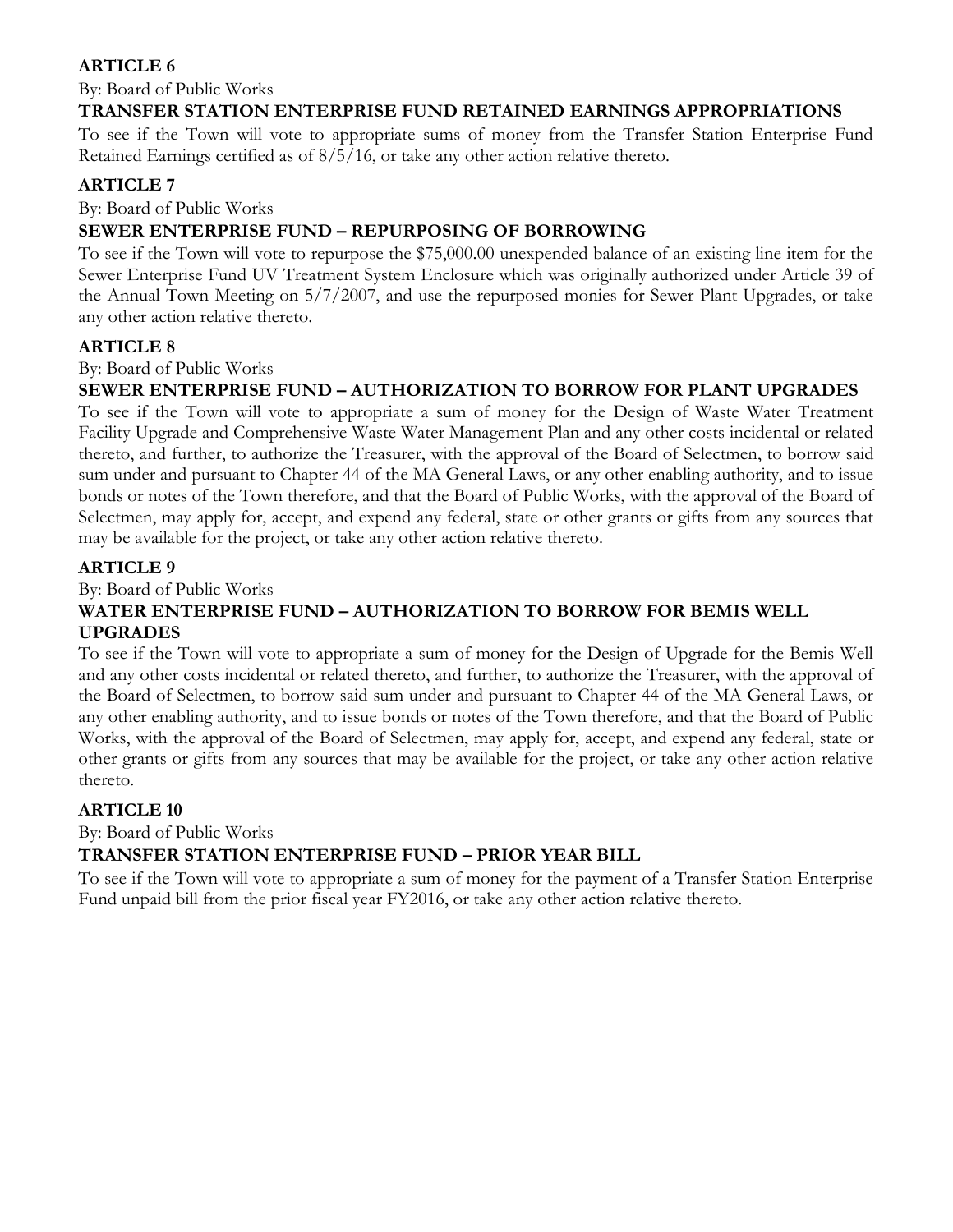# **ARTICLE 6**

By: Board of Public Works

# **TRANSFER STATION ENTERPRISE FUND RETAINED EARNINGS APPROPRIATIONS**

To see if the Town will vote to appropriate sums of money from the Transfer Station Enterprise Fund Retained Earnings certified as of 8/5/16, or take any other action relative thereto.

# **ARTICLE 7**

By: Board of Public Works

# **SEWER ENTERPRISE FUND – REPURPOSING OF BORROWING**

To see if the Town will vote to repurpose the \$75,000.00 unexpended balance of an existing line item for the Sewer Enterprise Fund UV Treatment System Enclosure which was originally authorized under Article 39 of the Annual Town Meeting on 5/7/2007, and use the repurposed monies for Sewer Plant Upgrades, or take any other action relative thereto.

# **ARTICLE 8**

#### By: Board of Public Works

# **SEWER ENTERPRISE FUND – AUTHORIZATION TO BORROW FOR PLANT UPGRADES**

To see if the Town will vote to appropriate a sum of money for the Design of Waste Water Treatment Facility Upgrade and Comprehensive Waste Water Management Plan and any other costs incidental or related thereto, and further, to authorize the Treasurer, with the approval of the Board of Selectmen, to borrow said sum under and pursuant to Chapter 44 of the MA General Laws, or any other enabling authority, and to issue bonds or notes of the Town therefore, and that the Board of Public Works, with the approval of the Board of Selectmen, may apply for, accept, and expend any federal, state or other grants or gifts from any sources that may be available for the project, or take any other action relative thereto.

# **ARTICLE 9**

By: Board of Public Works

# **WATER ENTERPRISE FUND – AUTHORIZATION TO BORROW FOR BEMIS WELL UPGRADES**

To see if the Town will vote to appropriate a sum of money for the Design of Upgrade for the Bemis Well and any other costs incidental or related thereto, and further, to authorize the Treasurer, with the approval of the Board of Selectmen, to borrow said sum under and pursuant to Chapter 44 of the MA General Laws, or any other enabling authority, and to issue bonds or notes of the Town therefore, and that the Board of Public Works, with the approval of the Board of Selectmen, may apply for, accept, and expend any federal, state or other grants or gifts from any sources that may be available for the project, or take any other action relative thereto.

# **ARTICLE 10**

By: Board of Public Works

# **TRANSFER STATION ENTERPRISE FUND – PRIOR YEAR BILL**

To see if the Town will vote to appropriate a sum of money for the payment of a Transfer Station Enterprise Fund unpaid bill from the prior fiscal year FY2016, or take any other action relative thereto.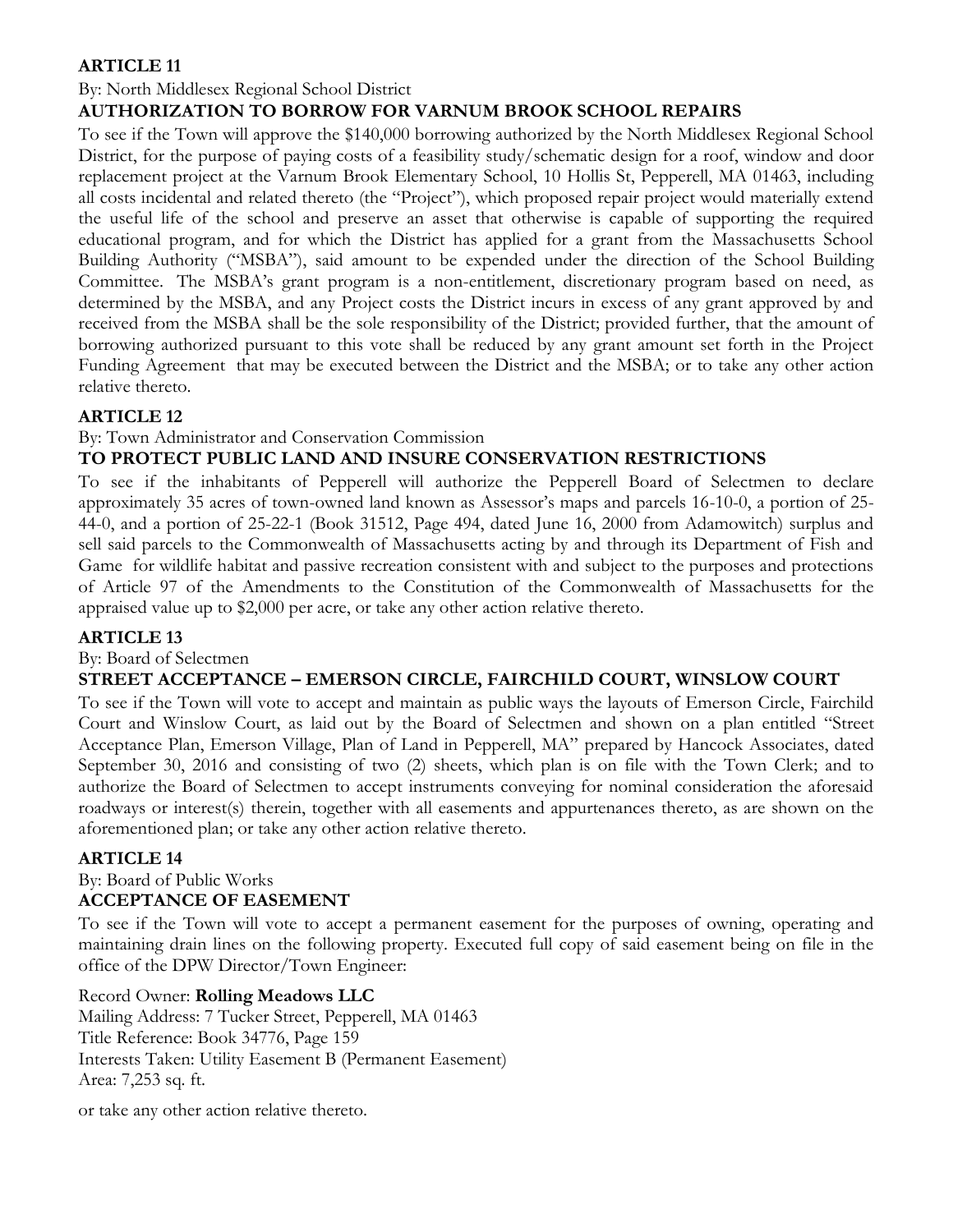# **ARTICLE 11**

## By: North Middlesex Regional School District

# **AUTHORIZATION TO BORROW FOR VARNUM BROOK SCHOOL REPAIRS**

To see if the Town will approve the \$140,000 borrowing authorized by the North Middlesex Regional School District, for the purpose of paying costs of a feasibility study/schematic design for a roof, window and door replacement project at the Varnum Brook Elementary School, 10 Hollis St, Pepperell, MA 01463, including all costs incidental and related thereto (the "Project"), which proposed repair project would materially extend the useful life of the school and preserve an asset that otherwise is capable of supporting the required educational program, and for which the District has applied for a grant from the Massachusetts School Building Authority ("MSBA"), said amount to be expended under the direction of the School Building Committee. The MSBA's grant program is a non-entitlement, discretionary program based on need, as determined by the MSBA, and any Project costs the District incurs in excess of any grant approved by and received from the MSBA shall be the sole responsibility of the District; provided further, that the amount of borrowing authorized pursuant to this vote shall be reduced by any grant amount set forth in the Project Funding Agreement that may be executed between the District and the MSBA; or to take any other action relative thereto.

## **ARTICLE 12**

By: Town Administrator and Conservation Commission

# **TO PROTECT PUBLIC LAND AND INSURE CONSERVATION RESTRICTIONS**

To see if the inhabitants of Pepperell will authorize the Pepperell Board of Selectmen to declare approximately 35 acres of town-owned land known as Assessor's maps and parcels 16-10-0, a portion of 25- 44-0, and a portion of 25-22-1 (Book 31512, Page 494, dated June 16, 2000 from Adamowitch) surplus and sell said parcels to the Commonwealth of Massachusetts acting by and through its Department of Fish and Game for wildlife habitat and passive recreation consistent with and subject to the purposes and protections of Article 97 of the Amendments to the Constitution of the Commonwealth of Massachusetts for the appraised value up to \$2,000 per acre, or take any other action relative thereto.

## **ARTICLE 13**

By: Board of Selectmen

## **STREET ACCEPTANCE – EMERSON CIRCLE, FAIRCHILD COURT, WINSLOW COURT**

To see if the Town will vote to accept and maintain as public ways the layouts of Emerson Circle, Fairchild Court and Winslow Court, as laid out by the Board of Selectmen and shown on a plan entitled "Street Acceptance Plan, Emerson Village, Plan of Land in Pepperell, MA" prepared by Hancock Associates, dated September 30, 2016 and consisting of two (2) sheets, which plan is on file with the Town Clerk; and to authorize the Board of Selectmen to accept instruments conveying for nominal consideration the aforesaid roadways or interest(s) therein, together with all easements and appurtenances thereto, as are shown on the aforementioned plan; or take any other action relative thereto.

## **ARTICLE 14**

# By: Board of Public Works **ACCEPTANCE OF EASEMENT**

To see if the Town will vote to accept a permanent easement for the purposes of owning, operating and maintaining drain lines on the following property. Executed full copy of said easement being on file in the office of the DPW Director/Town Engineer:

## Record Owner: **Rolling Meadows LLC**

Mailing Address: 7 Tucker Street, Pepperell, MA 01463 Title Reference: Book 34776, Page 159 Interests Taken: Utility Easement B (Permanent Easement) Area: 7,253 sq. ft.

or take any other action relative thereto.